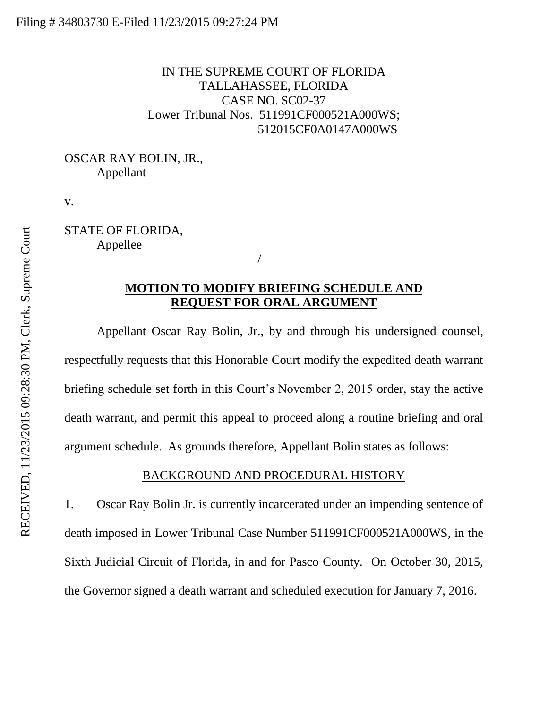## IN THE SUPREME COURT OF FLORIDA TALLAHASSEE, FLORIDA CASE NO. SC02-37 Lower Tribunal Nos. 511991CF000521A000WS; 512015CF0A0147A000WS

## OSCAR RAY BOLIN, JR., Appellant

v.

STATE OF FLORIDA, Appellee

<u>/</u>

# **MOTION TO MODIFY BRIEFING SCHEDULE AND REQUEST FOR ORAL ARGUMENT**

Appellant Oscar Ray Bolin, Jr., by and through his undersigned counsel, respectfully requests that this Honorable Court modify the expedited death warrant briefing schedule set forth in this Court's November 2, 2015 order, stay the active death warrant, and permit this appeal to proceed along a routine briefing and oral argument schedule. As grounds therefore, Appellant Bolin states as follows:

### BACKGROUND AND PROCEDURAL HISTORY

1. Oscar Ray Bolin Jr. is currently incarcerated under an impending sentence of death imposed in Lower Tribunal Case Number 511991CF000521A000WS, in the Sixth Judicial Circuit of Florida, in and for Pasco County. On October 30, 2015, the Governor signed a death warrant and scheduled execution for January 7, 2016.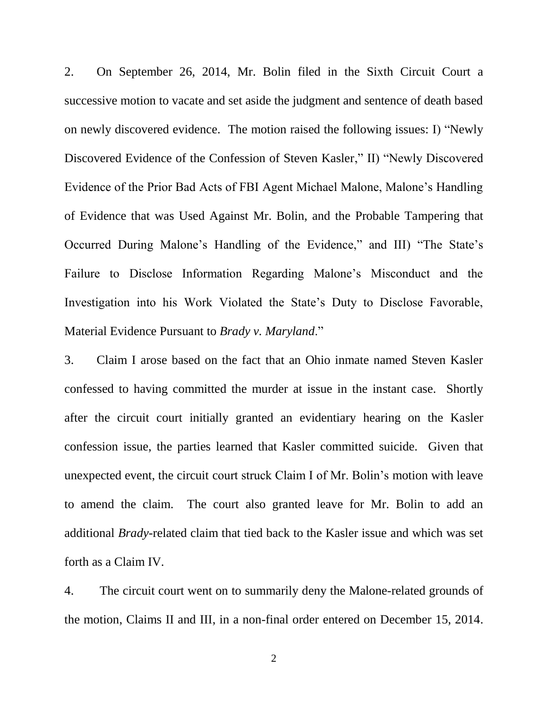2. On September 26, 2014, Mr. Bolin filed in the Sixth Circuit Court a successive motion to vacate and set aside the judgment and sentence of death based on newly discovered evidence. The motion raised the following issues: I) "Newly Discovered Evidence of the Confession of Steven Kasler," II) "Newly Discovered Evidence of the Prior Bad Acts of FBI Agent Michael Malone, Malone's Handling of Evidence that was Used Against Mr. Bolin, and the Probable Tampering that Occurred During Malone's Handling of the Evidence," and III) "The State's Failure to Disclose Information Regarding Malone's Misconduct and the Investigation into his Work Violated the State's Duty to Disclose Favorable, Material Evidence Pursuant to *Brady v. Maryland*."

3. Claim I arose based on the fact that an Ohio inmate named Steven Kasler confessed to having committed the murder at issue in the instant case. Shortly after the circuit court initially granted an evidentiary hearing on the Kasler confession issue, the parties learned that Kasler committed suicide. Given that unexpected event, the circuit court struck Claim I of Mr. Bolin's motion with leave to amend the claim. The court also granted leave for Mr. Bolin to add an additional *Brady*-related claim that tied back to the Kasler issue and which was set forth as a Claim IV.

4. The circuit court went on to summarily deny the Malone-related grounds of the motion, Claims II and III, in a non-final order entered on December 15, 2014.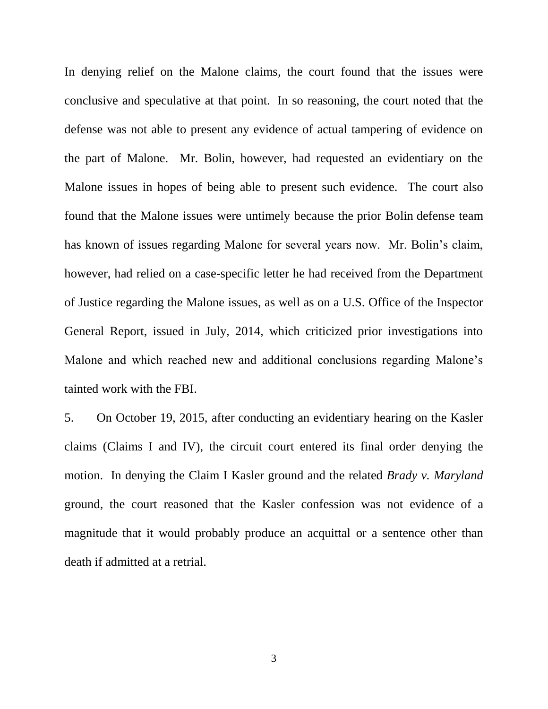In denying relief on the Malone claims, the court found that the issues were conclusive and speculative at that point. In so reasoning, the court noted that the defense was not able to present any evidence of actual tampering of evidence on the part of Malone. Mr. Bolin, however, had requested an evidentiary on the Malone issues in hopes of being able to present such evidence. The court also found that the Malone issues were untimely because the prior Bolin defense team has known of issues regarding Malone for several years now. Mr. Bolin's claim, however, had relied on a case-specific letter he had received from the Department of Justice regarding the Malone issues, as well as on a U.S. Office of the Inspector General Report, issued in July, 2014, which criticized prior investigations into Malone and which reached new and additional conclusions regarding Malone's tainted work with the FBI.

5. On October 19, 2015, after conducting an evidentiary hearing on the Kasler claims (Claims I and IV), the circuit court entered its final order denying the motion. In denying the Claim I Kasler ground and the related *Brady v. Maryland* ground, the court reasoned that the Kasler confession was not evidence of a magnitude that it would probably produce an acquittal or a sentence other than death if admitted at a retrial.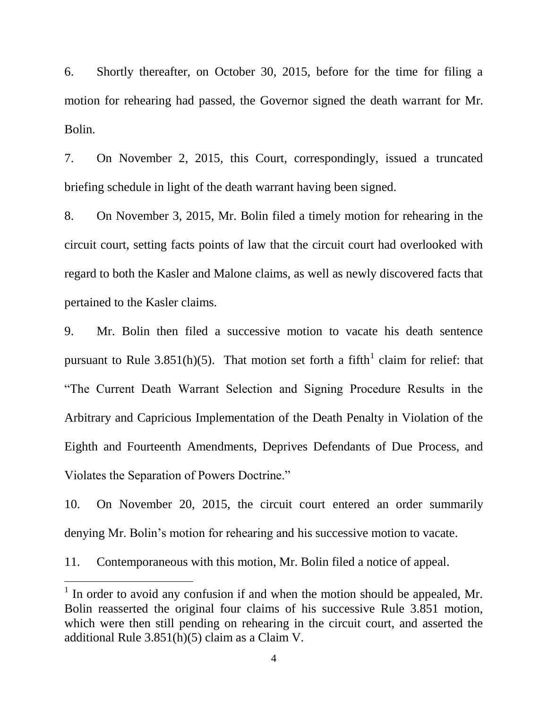6. Shortly thereafter, on October 30, 2015, before for the time for filing a motion for rehearing had passed, the Governor signed the death warrant for Mr. Bolin.

7. On November 2, 2015, this Court, correspondingly, issued a truncated briefing schedule in light of the death warrant having been signed.

8. On November 3, 2015, Mr. Bolin filed a timely motion for rehearing in the circuit court, setting facts points of law that the circuit court had overlooked with regard to both the Kasler and Malone claims, as well as newly discovered facts that pertained to the Kasler claims.

9. Mr. Bolin then filed a successive motion to vacate his death sentence pursuant to Rule 3.851(h)(5). That motion set forth a fifth claim for relief: that "The Current Death Warrant Selection and Signing Procedure Results in the Arbitrary and Capricious Implementation of the Death Penalty in Violation of the Eighth and Fourteenth Amendments, Deprives Defendants of Due Process, and Violates the Separation of Powers Doctrine."

10. On November 20, 2015, the circuit court entered an order summarily denying Mr. Bolin's motion for rehearing and his successive motion to vacate.

11. Contemporaneous with this motion, Mr. Bolin filed a notice of appeal.

 $\overline{a}$ 

 $<sup>1</sup>$  In order to avoid any confusion if and when the motion should be appealed, Mr.</sup> Bolin reasserted the original four claims of his successive Rule 3.851 motion, which were then still pending on rehearing in the circuit court, and asserted the additional Rule 3.851(h)(5) claim as a Claim V.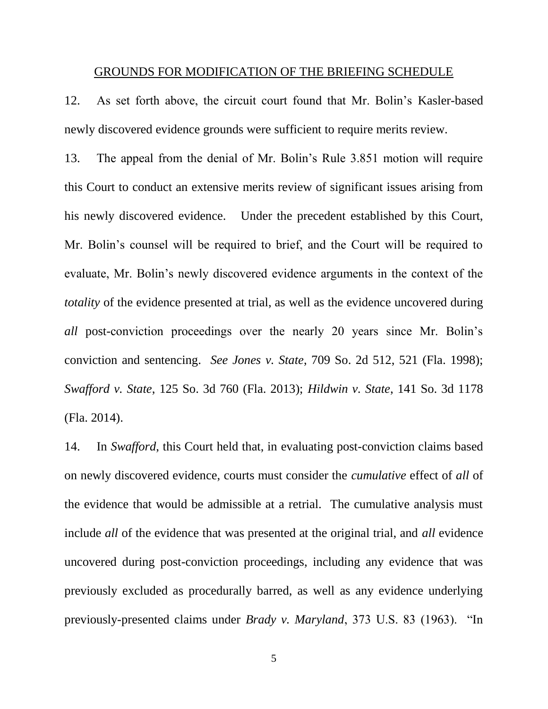#### GROUNDS FOR MODIFICATION OF THE BRIEFING SCHEDULE

12. As set forth above, the circuit court found that Mr. Bolin's Kasler-based newly discovered evidence grounds were sufficient to require merits review.

13. The appeal from the denial of Mr. Bolin's Rule 3.851 motion will require this Court to conduct an extensive merits review of significant issues arising from his newly discovered evidence. Under the precedent established by this Court, Mr. Bolin's counsel will be required to brief, and the Court will be required to evaluate, Mr. Bolin's newly discovered evidence arguments in the context of the *totality* of the evidence presented at trial, as well as the evidence uncovered during *all* post-conviction proceedings over the nearly 20 years since Mr. Bolin's conviction and sentencing. *See Jones v. State*, 709 So. 2d 512, 521 (Fla. 1998); *Swafford v. State*, 125 So. 3d 760 (Fla. 2013); *Hildwin v. State*, 141 So. 3d 1178 (Fla. 2014).

14. In *Swafford*, this Court held that, in evaluating post-conviction claims based on newly discovered evidence, courts must consider the *cumulative* effect of *all* of the evidence that would be admissible at a retrial. The cumulative analysis must include *all* of the evidence that was presented at the original trial, and *all* evidence uncovered during post-conviction proceedings, including any evidence that was previously excluded as procedurally barred, as well as any evidence underlying previously-presented claims under *Brady v. Maryland*, 373 U.S. 83 (1963). "In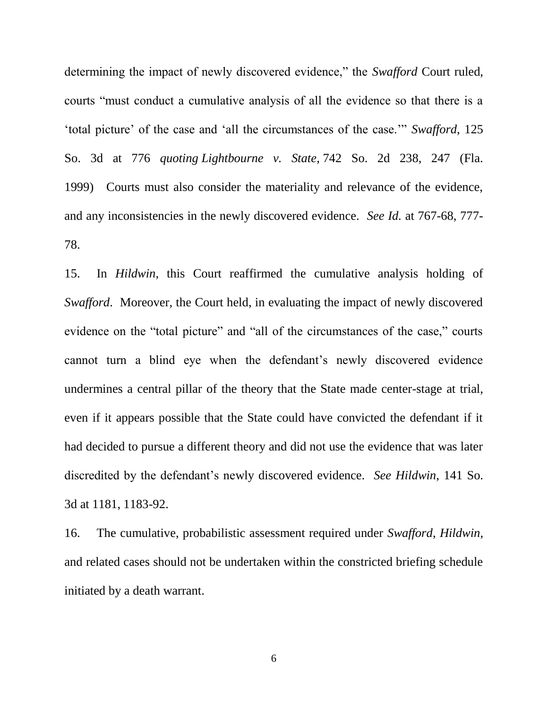determining the impact of newly discovered evidence," the *Swafford* Court ruled, courts "must conduct a cumulative analysis of all the evidence so that there is a 'total picture' of the case and 'all the circumstances of the case.'" *Swafford*, 125 So. 3d at 776 *quoting Lightbourne v. State*, 742 So. 2d 238, 247 (Fla. 1999) Courts must also consider the materiality and relevance of the evidence, and any inconsistencies in the newly discovered evidence. *See Id.* at 767-68, 777- 78.

15. In *Hildwin*, this Court reaffirmed the cumulative analysis holding of *Swafford*. Moreover, the Court held, in evaluating the impact of newly discovered evidence on the "total picture" and "all of the circumstances of the case," courts cannot turn a blind eye when the defendant's newly discovered evidence undermines a central pillar of the theory that the State made center-stage at trial, even if it appears possible that the State could have convicted the defendant if it had decided to pursue a different theory and did not use the evidence that was later discredited by the defendant's newly discovered evidence. *See Hildwin*, 141 So. 3d at 1181, 1183-92.

16. The cumulative, probabilistic assessment required under *Swafford*, *Hildwin*, and related cases should not be undertaken within the constricted briefing schedule initiated by a death warrant.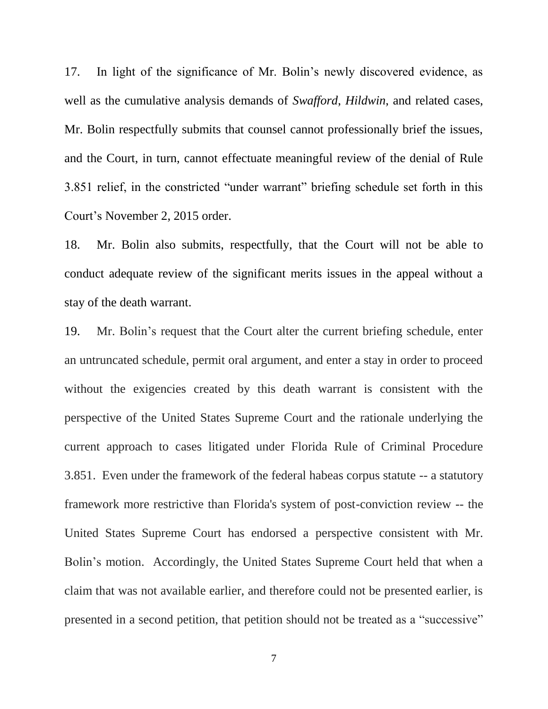17. In light of the significance of Mr. Bolin's newly discovered evidence, as well as the cumulative analysis demands of *Swafford*, *Hildwin*, and related cases, Mr. Bolin respectfully submits that counsel cannot professionally brief the issues, and the Court, in turn, cannot effectuate meaningful review of the denial of Rule 3.851 relief, in the constricted "under warrant" briefing schedule set forth in this Court's November 2, 2015 order.

18. Mr. Bolin also submits, respectfully, that the Court will not be able to conduct adequate review of the significant merits issues in the appeal without a stay of the death warrant.

19. Mr. Bolin's request that the Court alter the current briefing schedule, enter an untruncated schedule, permit oral argument, and enter a stay in order to proceed without the exigencies created by this death warrant is consistent with the perspective of the United States Supreme Court and the rationale underlying the current approach to cases litigated under Florida Rule of Criminal Procedure 3.851. Even under the framework of the federal habeas corpus statute -- a statutory framework more restrictive than Florida's system of post-conviction review -- the United States Supreme Court has endorsed a perspective consistent with Mr. Bolin's motion. Accordingly, the United States Supreme Court held that when a claim that was not available earlier, and therefore could not be presented earlier, is presented in a second petition, that petition should not be treated as a "successive"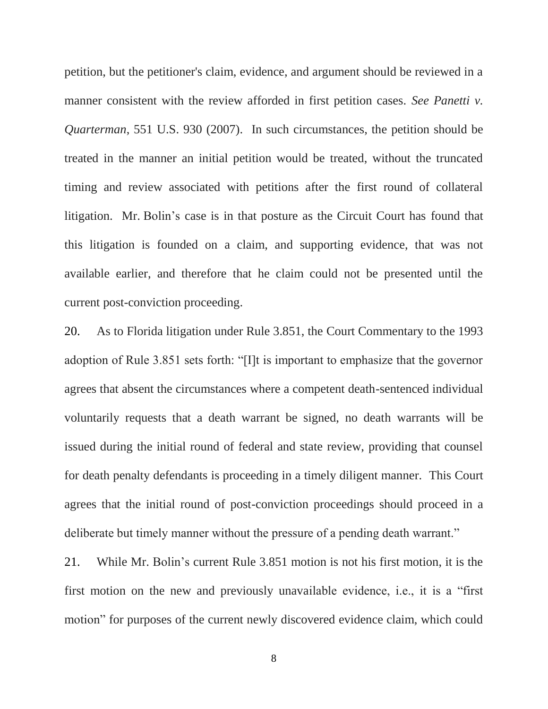petition, but the petitioner's claim, evidence, and argument should be reviewed in a manner consistent with the review afforded in first petition cases. *See Panetti v. Quarterman*, 551 U.S. 930 (2007). In such circumstances, the petition should be treated in the manner an initial petition would be treated, without the truncated timing and review associated with petitions after the first round of collateral litigation. Mr. Bolin's case is in that posture as the Circuit Court has found that this litigation is founded on a claim, and supporting evidence, that was not available earlier, and therefore that he claim could not be presented until the current post-conviction proceeding.

20. As to Florida litigation under Rule 3.851, the Court Commentary to the 1993 adoption of Rule 3.851 sets forth: "[I]t is important to emphasize that the governor agrees that absent the circumstances where a competent death-sentenced individual voluntarily requests that a death warrant be signed, no death warrants will be issued during the initial round of federal and state review, providing that counsel for death penalty defendants is proceeding in a timely diligent manner. This Court agrees that the initial round of post-conviction proceedings should proceed in a deliberate but timely manner without the pressure of a pending death warrant."

21. While Mr. Bolin's current Rule 3.851 motion is not his first motion, it is the first motion on the new and previously unavailable evidence, i.e., it is a "first motion" for purposes of the current newly discovered evidence claim, which could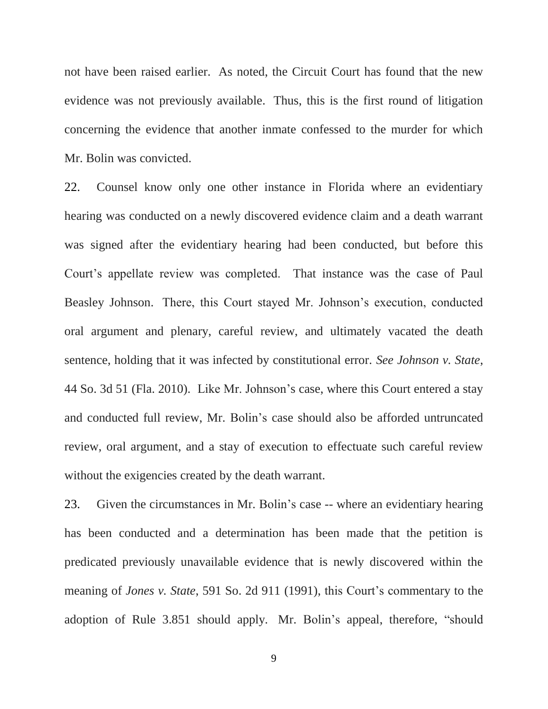not have been raised earlier. As noted, the Circuit Court has found that the new evidence was not previously available. Thus, this is the first round of litigation concerning the evidence that another inmate confessed to the murder for which Mr. Bolin was convicted.

22. Counsel know only one other instance in Florida where an evidentiary hearing was conducted on a newly discovered evidence claim and a death warrant was signed after the evidentiary hearing had been conducted, but before this Court's appellate review was completed. That instance was the case of Paul Beasley Johnson. There, this Court stayed Mr. Johnson's execution, conducted oral argument and plenary, careful review, and ultimately vacated the death sentence, holding that it was infected by constitutional error. *See Johnson v. State*, 44 So. 3d 51 (Fla. 2010). Like Mr. Johnson's case, where this Court entered a stay and conducted full review, Mr. Bolin's case should also be afforded untruncated review, oral argument, and a stay of execution to effectuate such careful review without the exigencies created by the death warrant.

23. Given the circumstances in Mr. Bolin's case -- where an evidentiary hearing has been conducted and a determination has been made that the petition is predicated previously unavailable evidence that is newly discovered within the meaning of *Jones v. State*, 591 So. 2d 911 (1991), this Court's commentary to the adoption of Rule 3.851 should apply. Mr. Bolin's appeal, therefore, "should